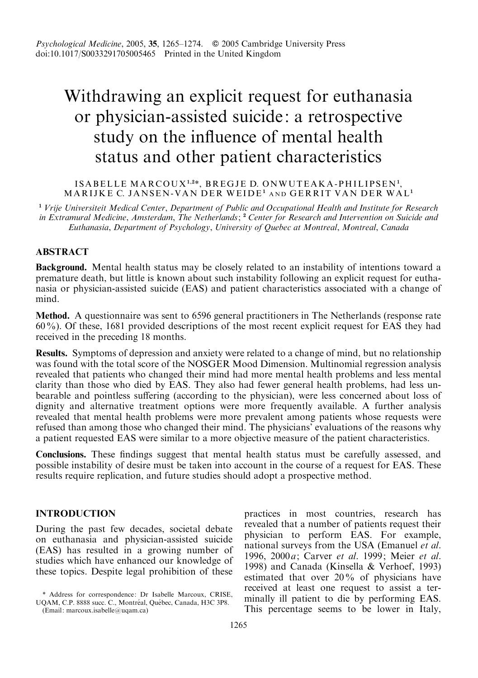# Withdrawing an explicit request for euthanasia or physician-assisted suicide: a retrospective study on the influence of mental health status and other patient characteristics

#### ISABELLE MARCOUX<sup>1,2\*</sup>, BREGJE D. ONWUTEAKA-PHILIPSEN<sup>1</sup>, MARIJKE C. JANSEN-VAN DER WEIDE<sup>1</sup> AND GERRIT VAN DER WAL<sup>1</sup>

<sup>1</sup> Vrije Universiteit Medical Center, Department of Public and Occupational Health and Institute for Research in Extramural Medicine, Amsterdam, The Netherlands; <sup>2</sup> Center for Research and Intervention on Suicide and Euthanasia, Department of Psychology, University of Quebec at Montreal, Montreal, Canada

# ABSTRACT

Background. Mental health status may be closely related to an instability of intentions toward a premature death, but little is known about such instability following an explicit request for euthanasia or physician-assisted suicide (EAS) and patient characteristics associated with a change of mind.

Method. A questionnaire was sent to 6596 general practitioners in The Netherlands (response rate 60%). Of these, 1681 provided descriptions of the most recent explicit request for EAS they had received in the preceding 18 months.

Results. Symptoms of depression and anxiety were related to a change of mind, but no relationship was found with the total score of the NOSGER Mood Dimension. Multinomial regression analysis revealed that patients who changed their mind had more mental health problems and less mental clarity than those who died by EAS. They also had fewer general health problems, had less unbearable and pointless suffering (according to the physician), were less concerned about loss of dignity and alternative treatment options were more frequently available. A further analysis revealed that mental health problems were more prevalent among patients whose requests were refused than among those who changed their mind. The physicians' evaluations of the reasons why a patient requested EAS were similar to a more objective measure of the patient characteristics.

Conclusions. These findings suggest that mental health status must be carefully assessed, and possible instability of desire must be taken into account in the course of a request for EAS. These results require replication, and future studies should adopt a prospective method.

# INTRODUCTION

During the past few decades, societal debate on euthanasia and physician-assisted suicide (EAS) has resulted in a growing number of studies which have enhanced our knowledge of these topics. Despite legal prohibition of these

(Email: marcoux.isabelle@uqam.ca)

practices in most countries, research has revealed that a number of patients request their physician to perform EAS. For example, national surveys from the USA (Emanuel et al. 1996, 2000 a; Carver et al. 1999; Meier et al. 1998) and Canada (Kinsella & Verhoef, 1993) estimated that over 20% of physicians have received at least one request to assist a terminally ill patient to die by performing EAS. This percentage seems to be lower in Italy,

<sup>\*</sup> Address for correspondence: Dr Isabelle Marcoux, CRISE, UQAM, C.P. 8888 succ. C., Montréal, Québec, Canada, H3C 3P8.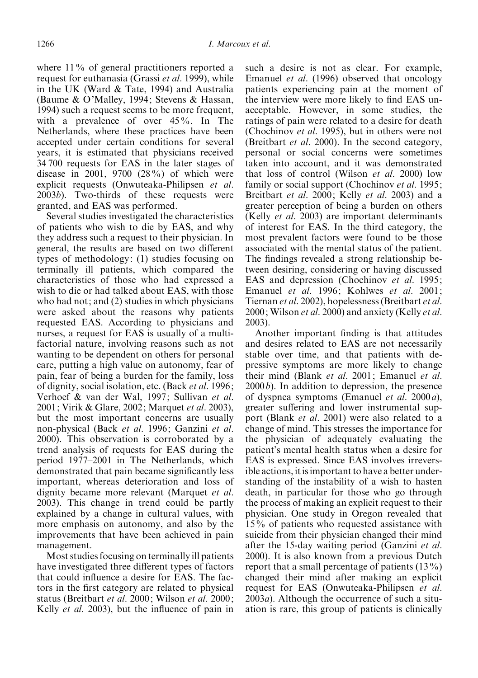where 11% of general practitioners reported a request for euthanasia (Grassi et al. 1999), while in the UK (Ward & Tate, 1994) and Australia (Baume & O'Malley, 1994; Stevens & Hassan, 1994) such a request seems to be more frequent, with a prevalence of over 45%. In The Netherlands, where these practices have been accepted under certain conditions for several years, it is estimated that physicians received 34 700 requests for EAS in the later stages of disease in 2001, 9700  $(28\%)$  of which were explicit requests (Onwuteaka-Philipsen et al. 2003b). Two-thirds of these requests were granted, and EAS was performed.

Several studies investigated the characteristics of patients who wish to die by EAS, and why they address such a request to their physician. In general, the results are based on two different types of methodology: (1) studies focusing on terminally ill patients, which compared the characteristics of those who had expressed a wish to die or had talked about EAS, with those who had not; and (2) studies in which physicians were asked about the reasons why patients requested EAS. According to physicians and nurses, a request for EAS is usually of a multifactorial nature, involving reasons such as not wanting to be dependent on others for personal care, putting a high value on autonomy, fear of pain, fear of being a burden for the family, loss of dignity, social isolation, etc. (Back et al. 1996; Verhoef & van der Wal, 1997; Sullivan et al. 2001; Virik & Glare, 2002; Marquet et al. 2003), but the most important concerns are usually non-physical (Back et al. 1996; Ganzini et al. 2000). This observation is corroborated by a trend analysis of requests for EAS during the period 1977–2001 in The Netherlands, which demonstrated that pain became significantly less important, whereas deterioration and loss of dignity became more relevant (Marquet et al. 2003). This change in trend could be partly explained by a change in cultural values, with more emphasis on autonomy, and also by the improvements that have been achieved in pain management.

Most studies focusing on terminally ill patients have investigated three different types of factors that could influence a desire for EAS. The factors in the first category are related to physical status (Breitbart et al. 2000; Wilson et al. 2000; Kelly et al. 2003), but the influence of pain in such a desire is not as clear. For example, Emanuel et al. (1996) observed that oncology patients experiencing pain at the moment of the interview were more likely to find EAS unacceptable. However, in some studies, the ratings of pain were related to a desire for death (Chochinov et al. 1995), but in others were not (Breitbart et al. 2000). In the second category, personal or social concerns were sometimes taken into account, and it was demonstrated that loss of control (Wilson et al. 2000) low family or social support (Chochinov *et al.* 1995; Breitbart et al. 2000; Kelly et al. 2003) and a greater perception of being a burden on others (Kelly et al. 2003) are important determinants of interest for EAS. In the third category, the most prevalent factors were found to be those associated with the mental status of the patient. The findings revealed a strong relationship between desiring, considering or having discussed EAS and depression (Chochinov et al. 1995; Emanuel et al. 1996; Kohlwes et al. 2001; Tiernan et al. 2002), hopelessness (Breitbart et al. 2000; Wilson et al. 2000) and anxiety (Kelly et al. 2003).

Another important finding is that attitudes and desires related to EAS are not necessarily stable over time, and that patients with depressive symptoms are more likely to change their mind (Blank et al. 2001; Emanuel et al.  $2000b$ ). In addition to depression, the presence of dyspnea symptoms (Emanuel et al. 2000a), greater suffering and lower instrumental support (Blank *et al.* 2001) were also related to a change of mind. This stresses the importance for the physician of adequately evaluating the patient's mental health status when a desire for EAS is expressed. Since EAS involves irreversible actions, it is important to have a better understanding of the instability of a wish to hasten death, in particular for those who go through the process of making an explicit request to their physician. One study in Oregon revealed that 15% of patients who requested assistance with suicide from their physician changed their mind after the 15-day waiting period (Ganzini et al. 2000). It is also known from a previous Dutch report that a small percentage of patients (13%) changed their mind after making an explicit request for EAS (Onwuteaka-Philipsen et al.  $2003a$ ). Although the occurrence of such a situation is rare, this group of patients is clinically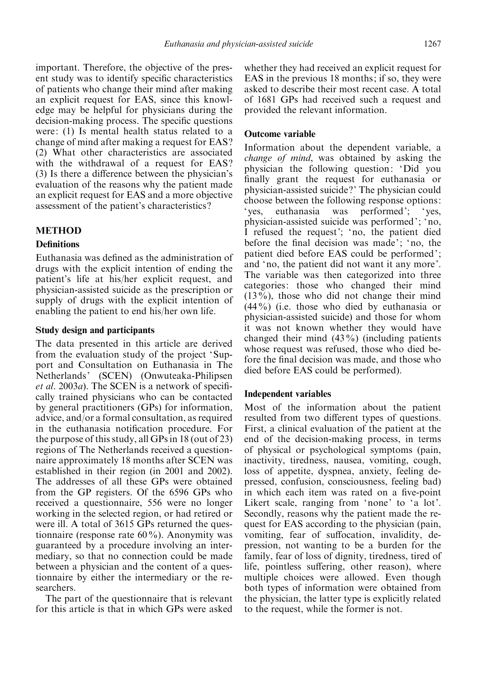important. Therefore, the objective of the present study was to identify specific characteristics of patients who change their mind after making an explicit request for EAS, since this knowledge may be helpful for physicians during the decision-making process. The specific questions were: (1) Is mental health status related to a change of mind after making a request for EAS ? (2) What other characteristics are associated with the withdrawal of a request for EAS? (3) Is there a difference between the physician's evaluation of the reasons why the patient made an explicit request for EAS and a more objective assessment of the patient's characteristics ?

# **METHOD**

## **Definitions**

Euthanasia was defined as the administration of drugs with the explicit intention of ending the patient's life at his/her explicit request, and physician-assisted suicide as the prescription or supply of drugs with the explicit intention of enabling the patient to end his/her own life.

## Study design and participants

The data presented in this article are derived from the evaluation study of the project 'Support and Consultation on Euthanasia in The Netherlands' (SCEN) (Onwuteaka-Philipsen et al. 2003a). The SCEN is a network of specifically trained physicians who can be contacted by general practitioners (GPs) for information, advice, and/or a formal consultation, as required in the euthanasia notification procedure. For the purpose of this study, all GPs in 18 (out of 23) regions of The Netherlands received a questionnaire approximately 18 months after SCEN was established in their region (in 2001 and 2002). The addresses of all these GPs were obtained from the GP registers. Of the 6596 GPs who received a questionnaire, 556 were no longer working in the selected region, or had retired or were ill. A total of 3615 GPs returned the questionnaire (response rate  $60\%$ ). Anonymity was guaranteed by a procedure involving an intermediary, so that no connection could be made between a physician and the content of a questionnaire by either the intermediary or the researchers.

The part of the questionnaire that is relevant for this article is that in which GPs were asked whether they had received an explicit request for EAS in the previous 18 months; if so, they were asked to describe their most recent case. A total of 1681 GPs had received such a request and provided the relevant information.

## Outcome variable

Information about the dependent variable, a change of mind, was obtained by asking the physician the following question: 'Did you finally grant the request for euthanasia or physician-assisted suicide ?' The physician could choose between the following response options: 'yes, euthanasia was performed'; 'yes, physician-assisted suicide was performed'; 'no, I refused the request'; 'no, the patient died before the final decision was made'; 'no, the patient died before EAS could be performed'; and 'no, the patient did not want it any more'. The variable was then categorized into three categories: those who changed their mind  $(13\%)$ , those who did not change their mind (44%) (i.e. those who died by euthanasia or physician-assisted suicide) and those for whom it was not known whether they would have changed their mind (43%) (including patients whose request was refused, those who died before the final decision was made, and those who died before EAS could be performed).

#### Independent variables

Most of the information about the patient resulted from two different types of questions. First, a clinical evaluation of the patient at the end of the decision-making process, in terms of physical or psychological symptoms (pain, inactivity, tiredness, nausea, vomiting, cough, loss of appetite, dyspnea, anxiety, feeling depressed, confusion, consciousness, feeling bad) in which each item was rated on a five-point Likert scale, ranging from 'none' to 'a lot'. Secondly, reasons why the patient made the request for EAS according to the physician (pain, vomiting, fear of suffocation, invalidity, depression, not wanting to be a burden for the family, fear of loss of dignity, tiredness, tired of life, pointless suffering, other reason), where multiple choices were allowed. Even though both types of information were obtained from the physician, the latter type is explicitly related to the request, while the former is not.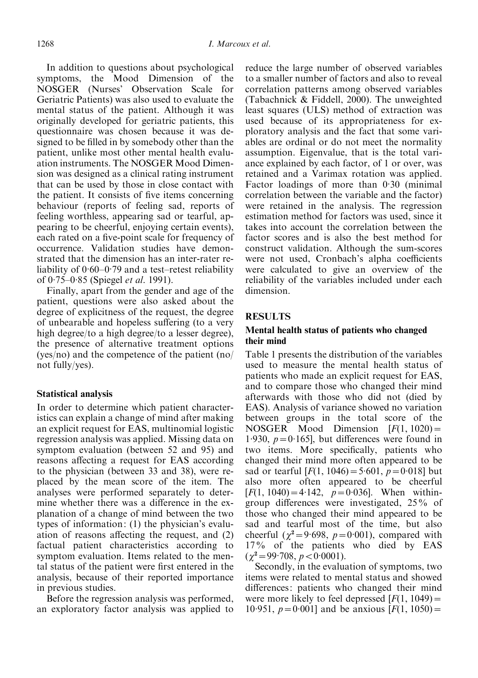In addition to questions about psychological symptoms, the Mood Dimension of the NOSGER (Nurses' Observation Scale for Geriatric Patients) was also used to evaluate the mental status of the patient. Although it was originally developed for geriatric patients, this questionnaire was chosen because it was designed to be filled in by somebody other than the patient, unlike most other mental health evaluation instruments. The NOSGER Mood Dimension was designed as a clinical rating instrument that can be used by those in close contact with the patient. It consists of five items concerning behaviour (reports of feeling sad, reports of feeling worthless, appearing sad or tearful, appearing to be cheerful, enjoying certain events), each rated on a five-point scale for frequency of occurrence. Validation studies have demonstrated that the dimension has an inter-rater reliability of 0. 60–0. 79 and a test–retest reliability of 0.75–0.85 (Spiegel et al. 1991).

Finally, apart from the gender and age of the patient, questions were also asked about the degree of explicitness of the request, the degree of unbearable and hopeless suffering (to a very high degree/to a high degree/to a lesser degree), the presence of alternative treatment options (yes/no) and the competence of the patient (no/ not fully/yes).

#### Statistical analysis

In order to determine which patient characteristics can explain a change of mind after making an explicit request for EAS, multinomial logistic regression analysis was applied. Missing data on symptom evaluation (between 52 and 95) and reasons affecting a request for EAS according to the physician (between 33 and 38), were replaced by the mean score of the item. The analyses were performed separately to determine whether there was a difference in the explanation of a change of mind between the two types of information: (1) the physician's evaluation of reasons affecting the request, and (2) factual patient characteristics according to symptom evaluation. Items related to the mental status of the patient were first entered in the analysis, because of their reported importance in previous studies.

Before the regression analysis was performed, an exploratory factor analysis was applied to reduce the large number of observed variables to a smaller number of factors and also to reveal correlation patterns among observed variables (Tabachnick & Fiddell, 2000). The unweighted least squares (ULS) method of extraction was used because of its appropriateness for exploratory analysis and the fact that some variables are ordinal or do not meet the normality assumption. Eigenvalue, that is the total variance explained by each factor, of 1 or over, was retained and a Varimax rotation was applied. Factor loadings of more than 0.30 (minimal correlation between the variable and the factor) were retained in the analysis. The regression estimation method for factors was used, since it takes into account the correlation between the factor scores and is also the best method for construct validation. Although the sum-scores were not used, Cronbach's alpha coefficients were calculated to give an overview of the reliability of the variables included under each dimension.

# RESULTS

#### Mental health status of patients who changed their mind

Table 1 presents the distribution of the variables used to measure the mental health status of patients who made an explicit request for EAS, and to compare those who changed their mind afterwards with those who did not (died by EAS). Analysis of variance showed no variation between groups in the total score of the NOSGER Mood Dimension  $[F(1, 1020) =$ 1.930,  $p = 0.165$ , but differences were found in two items. More specifically, patients who changed their mind more often appeared to be sad or tearful  $[F(1, 1046) = 5.601, p = 0.018]$  but also more often appeared to be cheerful  $[F(1, 1040) = 4.142, p = 0.036]$ . When withingroup differences were investigated, 25% of those who changed their mind appeared to be sad and tearful most of the time, but also cheerful ( $\chi^2$ =9.698, p=0.001), compared with 17% of the patients who died by EAS  $(\chi^2 = 99.708, p < 0.0001).$ 

Secondly, in the evaluation of symptoms, two items were related to mental status and showed differences: patients who changed their mind were more likely to feel depressed  $[F(1, 1049) =$ 10.951,  $p = 0.001$ ] and be anxious  $[F(1, 1050) =$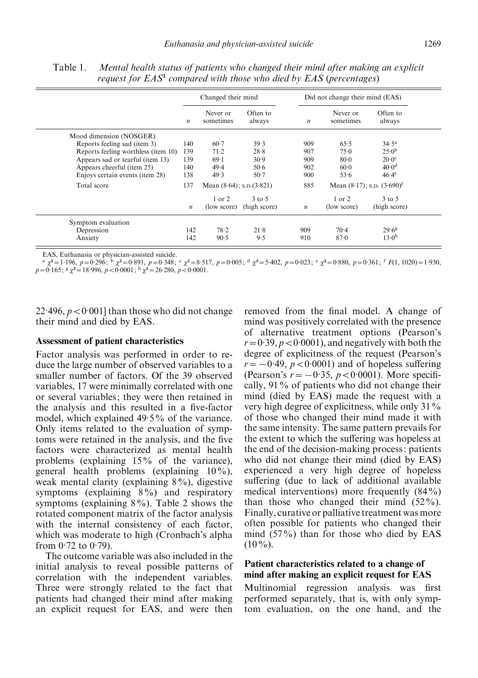|                                     | Changed their mind |                                |                    | Did not change their mind (EAS) |                                             |                    |
|-------------------------------------|--------------------|--------------------------------|--------------------|---------------------------------|---------------------------------------------|--------------------|
|                                     | $\boldsymbol{n}$   | Never or<br>sometimes          | Often to<br>always | $\boldsymbol{n}$                | Never or<br>sometimes                       | Often to<br>always |
| Mood dimension (NOSGER)             |                    |                                |                    |                                 |                                             |                    |
| Reports feeling sad (item 3)        | 140                | $60-7$                         | 39.3               | 909                             | 65.5                                        | $34.5^{\rm a}$     |
| Reports feeling worthless (item 10) | 139                | 71.2                           | 28.8               | 907                             | $75-0$                                      | 25.0 <sup>b</sup>  |
| Appears sad or tearful (item 13)    | 139                | 69.1                           | 30.9               | 909                             | 80.0                                        | $20.0^\circ$       |
| Appears cheerful (item 25)          | 140                | 49.4                           | 50.6               | 902                             | 60.0                                        | 40.0 <sup>d</sup>  |
| Enjoys certain events (item 28)     | 138                | 49.3                           | $50-7$             | 900                             | 53.6                                        | $46.4^\mathrm{e}$  |
| Total score                         | 137                | Mean $(8.64)$ ; s.p. $(3.821)$ |                    | 885                             | Mean $(8.17)$ ; s.p. $(3.690)$ <sup>f</sup> |                    |
|                                     |                    | $1$ or $2$                     | $3$ to $5$         |                                 | $1$ or $2$                                  | $3$ to $5$         |
|                                     | $\boldsymbol{n}$   | (low score)                    | (high score)       | $\boldsymbol{n}$                | (low score)                                 | (high score)       |
| Symptom evaluation                  |                    |                                |                    |                                 |                                             |                    |
| Depression                          | 142                | 78.2                           | $21 - 8$           | 909                             | $70-4$                                      | 29.6 <sup>g</sup>  |
| Anxiety                             | 142                | 90.5                           | 9.5                | 910                             | $87 - 0$                                    | $13\cdot 0^h$      |

Table 1. Mental health status of patients who changed their mind after making an explicit request for  $EAS<sup>1</sup>$  compared with those who died by  $EAS$  (percentages)

EAS, Euthanasia or physician-assisted suicide.

<sup>a</sup>  $\chi^2 = 1.196$ ,  $p = 0.296$ ;  $\frac{1}{2}$   $\chi^2 = 0.891$ ,  $p = 0.348$ ;  $\frac{1}{2}$   $\chi^2 = 8.517$ ,  $p = 0.005$ ;  $\frac{1}{2}$   $\chi^2 = 5.402$ ,  $p = 0.023$ ;  $\frac{1}{2}$   $\chi^2 = 0.880$ ,  $p = 0.361$ ;  $\frac{1}{2}$   $F(1, 1020) = 1.930$ ,  $p = 0.165$ ;

 $22.496, p < 0.001$ ] than those who did not change their mind and died by EAS.

#### Assessment of patient characteristics

Factor analysis was performed in order to reduce the large number of observed variables to a smaller number of factors. Of the 39 observed variables, 17 were minimally correlated with one or several variables; they were then retained in the analysis and this resulted in a five-factor model, which explained 49. 5% of the variance. Only items related to the evaluation of symptoms were retained in the analysis, and the five factors were characterized as mental health problems (explaining 15% of the variance), general health problems (explaining 10%), weak mental clarity (explaining 8%), digestive symptoms (explaining 8%) and respiratory symptoms (explaining 8%). Table 2 shows the rotated component matrix of the factor analysis with the internal consistency of each factor, which was moderate to high (Cronbach's alpha from  $0.72$  to  $0.79$ ).

The outcome variable was also included in the initial analysis to reveal possible patterns of correlation with the independent variables. Three were strongly related to the fact that patients had changed their mind after making an explicit request for EAS, and were then

removed from the final model. A change of mind was positively correlated with the presence of alternative treatment options (Pearson's  $r = 0.39, p < 0.0001$ , and negatively with both the degree of explicitness of the request (Pearson's  $r = -0.49$ ,  $p < 0.0001$ ) and of hopeless suffering (Pearson's  $r = -0.35$ ,  $p < 0.0001$ ). More specifically, 91% of patients who did not change their mind (died by EAS) made the request with a very high degree of explicitness, while only 31% of those who changed their mind made it with the same intensity. The same pattern prevails for the extent to which the suffering was hopeless at the end of the decision-making process: patients who did not change their mind (died by EAS) experienced a very high degree of hopeless suffering (due to lack of additional available medical interventions) more frequently (84%) than those who changed their mind  $(52\%)$ . Finally, curative or palliative treatment was more often possible for patients who changed their mind (57%) than for those who died by EAS  $(10\%)$ .

#### Patient characteristics related to a change of mind after making an explicit request for EAS

Multinomial regression analysis was first performed separately, that is, with only symptom evaluation, on the one hand, and the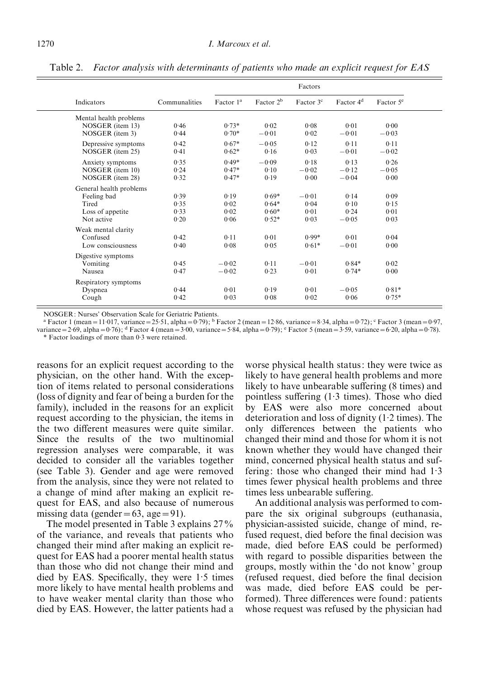| Indicators              | Communalities | Factors      |                       |                       |                       |                       |
|-------------------------|---------------|--------------|-----------------------|-----------------------|-----------------------|-----------------------|
|                         |               | Factor $1^a$ | Factor 2 <sup>b</sup> | Factor 3 <sup>c</sup> | Factor 4 <sup>d</sup> | Factor 5 <sup>e</sup> |
| Mental health problems  |               |              |                       |                       |                       |                       |
| NOSGER (item 13)        | 0.46          | $0.73*$      | 0.02                  | 0.08                  | 0.01                  | 0.00                  |
| NOSGER (item 3)         | 0.44          | $0.70*$      | $-0.01$               | 0.02                  | $-0.01$               | $-0.03$               |
| Depressive symptoms     | 0.42          | $0.67*$      | $-0.05$               | 0.12                  | 0.11                  | 0.11                  |
| NOSGER (item 25)        | 0.41          | $0.62*$      | 0.16                  | 0.03                  | $-0.01$               | $-0.02$               |
| Anxiety symptoms        | 0.35          | $0.49*$      | $-0.09$               | 0.18                  | 0.13                  | 0.26                  |
| NOSGER (item 10)        | 0.24          | $0.47*$      | 0.10                  | $-0.02$               | $-0.12$               | $-0.05$               |
| NOSGER (item 28)        | 0.32          | $0.47*$      | 0.19                  | 0.00                  | $-0.04$               | 0.00                  |
| General health problems |               |              |                       |                       |                       |                       |
| Feeling bad             | 0.39          | 0.19         | $0.69*$               | $-0.01$               | 0.14                  | 0.09                  |
| Tired                   | 0.35          | 0.02         | $0.64*$               | 0.04                  | 0.10                  | 0.15                  |
| Loss of appetite        | 0.33          | 0.02         | $0.60*$               | 0.01                  | 0.24                  | 0.01                  |
| Not active              | 0.20          | 0.06         | $0.52*$               | 0.03                  | $-0.05$               | 0.03                  |
| Weak mental clarity     |               |              |                       |                       |                       |                       |
| Confused                | 0.42          | 0.11         | 0.01                  | $0.99*$               | 0.01                  | 0.04                  |
| Low consciousness       | 0.40          | 0.08         | 0.05                  | $0.61*$               | $-0.01$               | 0.00                  |
| Digestive symptoms      |               |              |                       |                       |                       |                       |
| Vomiting                | 0.45          | $-0.02$      | 0.11                  | $-0.01$               | $0.84*$               | 0.02                  |
| Nausea                  | 0.47          | $-0.02$      | 0.23                  | 0.01                  | $0.74*$               | 0.00                  |
| Respiratory symptoms    |               |              |                       |                       |                       |                       |
| Dyspnea                 | 0.44          | 0.01         | 0.19                  | 0.01                  | $-0.05$               | $0.81*$               |
| Cough                   | 0.42          | 0.03         | 0.08                  | 0.02                  | 0.06                  | $0.75*$               |

Table 2. Factor analysis with determinants of patients who made an explicit request for EAS

NOSGER: Nurses' Observation Scale for Geriatric Patients.

<sup>a</sup> Factor 1 (mean = 11.017, variance = 25.51, alpha = 0.79); <sup>b</sup> Factor 2 (mean = 12.86, variance = 8.34, alpha = 0.72); <sup>c</sup> Factor 3 (mean = 0.97, variance =  $2.69$ , alpha =  $0.76$ ); d Factor 4 (mean =  $3.00$ , variance =  $5.84$ , alpha =  $0.79$ ); e Factor 5 (mean =  $3.59$ , variance =  $6.20$ , alpha =  $0.78$ ). \* Factor loadings of more than 0. 3 were retained.

reasons for an explicit request according to the physician, on the other hand. With the exception of items related to personal considerations (loss of dignity and fear of being a burden for the family), included in the reasons for an explicit request according to the physician, the items in the two different measures were quite similar. Since the results of the two multinomial regression analyses were comparable, it was decided to consider all the variables together (see Table 3). Gender and age were removed from the analysis, since they were not related to a change of mind after making an explicit request for EAS, and also because of numerous missing data (gender = 63, age = 91).

The model presented in Table 3 explains 27% of the variance, and reveals that patients who changed their mind after making an explicit request for EAS had a poorer mental health status than those who did not change their mind and died by EAS. Specifically, they were 1. 5 times more likely to have mental health problems and to have weaker mental clarity than those who died by EAS. However, the latter patients had a

worse physical health status: they were twice as likely to have general health problems and more likely to have unbearable suffering (8 times) and pointless suffering (1. 3 times). Those who died by EAS were also more concerned about deterioration and loss of dignity (1. 2 times). The only differences between the patients who changed their mind and those for whom it is not known whether they would have changed their mind, concerned physical health status and suffering: those who changed their mind had 1. 3 times fewer physical health problems and three times less unbearable suffering.

An additional analysis was performed to compare the six original subgroups (euthanasia, physician-assisted suicide, change of mind, refused request, died before the final decision was made, died before EAS could be performed) with regard to possible disparities between the groups, mostly within the 'do not know' group (refused request, died before the final decision was made, died before EAS could be performed). Three differences were found: patients whose request was refused by the physician had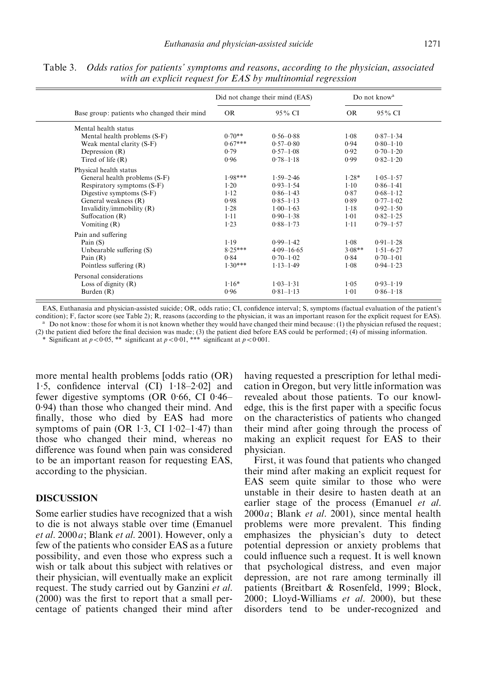|                                             |           | Did not change their mind (EAS) | Do not know <sup>a</sup> |               |
|---------------------------------------------|-----------|---------------------------------|--------------------------|---------------|
| Base group: patients who changed their mind | OR.       | 95% CI                          | OR.                      | 95% CI        |
| Mental health status                        |           |                                 |                          |               |
| Mental health problems (S-F)                | $0.70**$  | $0.56 - 0.88$                   | 1.08                     | $0.87 - 1.34$ |
| Weak mental clarity (S-F)                   | $0.67***$ | $0.57 - 0.80$                   | 0.94                     | $0.80 - 1.10$ |
| Depression $(R)$                            | 0.79      | $0.57 - 1.08$                   | 0.92                     | $0.70 - 1.20$ |
| Tired of life $(R)$                         | 0.96      | $0.78 - 1.18$                   | 0.99                     | $0.82 - 1.20$ |
| Physical health status                      |           |                                 |                          |               |
| General health problems (S-F)               | $1.98***$ | $1.59 - 2.46$                   | $1.28*$                  | $1.05 - 1.57$ |
| Respiratory symptoms (S-F)                  | $1-20$    | $0.93 - 1.54$                   | $1-10$                   | $0.86 - 1.41$ |
| Digestive symptoms (S-F)                    | $1-12$    | $0.86 - 1.43$                   | 0.87                     | $0.68 - 1.12$ |
| General weakness (R)                        | 0.98      | $0.85 - 1.13$                   | 0.89                     | $0.77 - 1.02$ |
| Invalidity/immobility (R)                   | 1.28      | $1.00 - 1.63$                   | 1.18                     | $0.92 - 1.50$ |
| Suffocation $(R)$                           | $1 - 11$  | $0.90 - 1.38$                   | 1.01                     | $0.82 - 1.25$ |
| Vomiting $(R)$                              | 1.23      | $0.88 - 1.73$                   | $1 - 11$                 | $0.79 - 1.57$ |
| Pain and suffering                          |           |                                 |                          |               |
| Pain $(S)$                                  | 1.19      | $0.99 - 1.42$                   | $1-08$                   | $0.91 - 1.28$ |
| Unbearable suffering (S)                    | $8.25***$ | $4.09 - 16.65$                  | $3.08**$                 | $1.51 - 6.27$ |
| Pain $(R)$                                  | 0.84      | $0.70 - 1.02$                   | 0.84                     | $0.70 - 1.01$ |
| Pointless suffering $(R)$                   | $1.30***$ | $1.13 - 1.49$                   | 1.08                     | $0.94 - 1.23$ |
| Personal considerations                     |           |                                 |                          |               |
| Loss of dignity $(R)$                       | $1.16*$   | $1.03 - 1.31$                   | 1.05                     | $0.93 - 1.19$ |
| Burden $(R)$                                | 0.96      | $0.81 - 1.13$                   | 1.01                     | $0.86 - 1.18$ |

Table 3. Odds ratios for patients' symptoms and reasons, according to the physician, associated with an explicit request for EAS by multinomial regression

EAS, Euthanasia and physician-assisted suicide; OR, odds ratio; CI, confidence interval; S, symptoms (factual evaluation of the patient's condition); F, factor score (see Table 2); R, reasons (according to the physician, i <sup>a</sup> Do not know: those for whom it is not known whether they would have changed their mind because: (1) the physician refused the request; (2) the patient died before the final decision was made; (3) the patient died before EAS could be performed; (4) of missing information.

\* Significant at  $p < 0.05$ , \*\* significant at  $p < 0.01$ , \*\*\* significant at  $p < 0.001$ .

more mental health problems [odds ratio (OR) 1.5, confidence interval  $(CI)$   $1.18-2.02$  and fewer digestive symptoms (OR 0. 66, CI 0. 46– 0. 94) than those who changed their mind. And finally, those who died by EAS had more symptoms of pain  $(OR 1.3, CI 1.02-1.47)$  than those who changed their mind, whereas no difference was found when pain was considered to be an important reason for requesting EAS, according to the physician.

## DISCUSSION

Some earlier studies have recognized that a wish to die is not always stable over time (Emanuel et al. 2000a; Blank et al. 2001). However, only a few of the patients who consider EAS as a future possibility, and even those who express such a wish or talk about this subject with relatives or their physician, will eventually make an explicit request. The study carried out by Ganzini et al. (2000) was the first to report that a small percentage of patients changed their mind after having requested a prescription for lethal medication in Oregon, but very little information was revealed about those patients. To our knowledge, this is the first paper with a specific focus on the characteristics of patients who changed their mind after going through the process of making an explicit request for EAS to their physician.

First, it was found that patients who changed their mind after making an explicit request for EAS seem quite similar to those who were unstable in their desire to hasten death at an earlier stage of the process (Emanuel et al.  $2000a$ ; Blank *et al.* 2001), since mental health problems were more prevalent. This finding emphasizes the physician's duty to detect potential depression or anxiety problems that could influence such a request. It is well known that psychological distress, and even major depression, are not rare among terminally ill patients (Breitbart & Rosenfeld, 1999; Block,  $2000$ ; Lloyd-Williams *et al.* 2000), but these disorders tend to be under-recognized and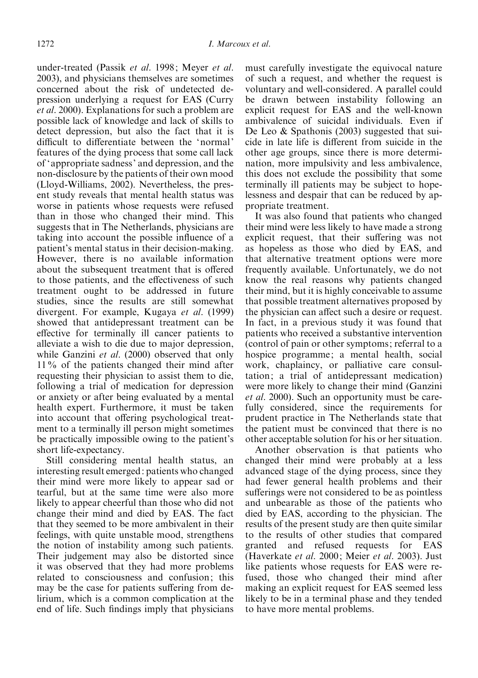under-treated (Passik et al. 1998; Meyer et al. 2003), and physicians themselves are sometimes concerned about the risk of undetected depression underlying a request for EAS (Curry et al. 2000). Explanations for such a problem are possible lack of knowledge and lack of skills to detect depression, but also the fact that it is difficult to differentiate between the 'normal' features of the dying process that some call lack of 'appropriate sadness' and depression, and the non-disclosure by the patients of their own mood (Lloyd-Williams, 2002). Nevertheless, the present study reveals that mental health status was worse in patients whose requests were refused than in those who changed their mind. This suggests that in The Netherlands, physicians are taking into account the possible influence of a patient's mental status in their decision-making. However, there is no available information about the subsequent treatment that is offered to those patients, and the effectiveness of such treatment ought to be addressed in future studies, since the results are still somewhat divergent. For example, Kugaya et al. (1999) showed that antidepressant treatment can be effective for terminally ill cancer patients to alleviate a wish to die due to major depression, while Ganzini et al. (2000) observed that only 11% of the patients changed their mind after requesting their physician to assist them to die, following a trial of medication for depression or anxiety or after being evaluated by a mental health expert. Furthermore, it must be taken into account that offering psychological treatment to a terminally ill person might sometimes be practically impossible owing to the patient's short life-expectancy.

Still considering mental health status, an interesting result emerged: patients who changed their mind were more likely to appear sad or tearful, but at the same time were also more likely to appear cheerful than those who did not change their mind and died by EAS. The fact that they seemed to be more ambivalent in their feelings, with quite unstable mood, strengthens the notion of instability among such patients. Their judgement may also be distorted since it was observed that they had more problems related to consciousness and confusion; this may be the case for patients suffering from delirium, which is a common complication at the end of life. Such findings imply that physicians must carefully investigate the equivocal nature of such a request, and whether the request is voluntary and well-considered. A parallel could be drawn between instability following an explicit request for EAS and the well-known ambivalence of suicidal individuals. Even if De Leo & Spathonis (2003) suggested that suicide in late life is different from suicide in the other age groups, since there is more determination, more impulsivity and less ambivalence, this does not exclude the possibility that some terminally ill patients may be subject to hopelessness and despair that can be reduced by appropriate treatment.

It was also found that patients who changed their mind were less likely to have made a strong explicit request, that their suffering was not as hopeless as those who died by EAS, and that alternative treatment options were more frequently available. Unfortunately, we do not know the real reasons why patients changed their mind, but it is highly conceivable to assume that possible treatment alternatives proposed by the physician can affect such a desire or request. In fact, in a previous study it was found that patients who received a substantive intervention (control of pain or other symptoms; referral to a hospice programme; a mental health, social work, chaplaincy, or palliative care consultation; a trial of antidepressant medication) were more likely to change their mind (Ganzini et al. 2000). Such an opportunity must be carefully considered, since the requirements for prudent practice in The Netherlands state that the patient must be convinced that there is no other acceptable solution for his or her situation.

Another observation is that patients who changed their mind were probably at a less advanced stage of the dying process, since they had fewer general health problems and their sufferings were not considered to be as pointless and unbearable as those of the patients who died by EAS, according to the physician. The results of the present study are then quite similar to the results of other studies that compared granted and refused requests for EAS (Haverkate et al. 2000; Meier et al. 2003). Just like patients whose requests for EAS were refused, those who changed their mind after making an explicit request for EAS seemed less likely to be in a terminal phase and they tended to have more mental problems.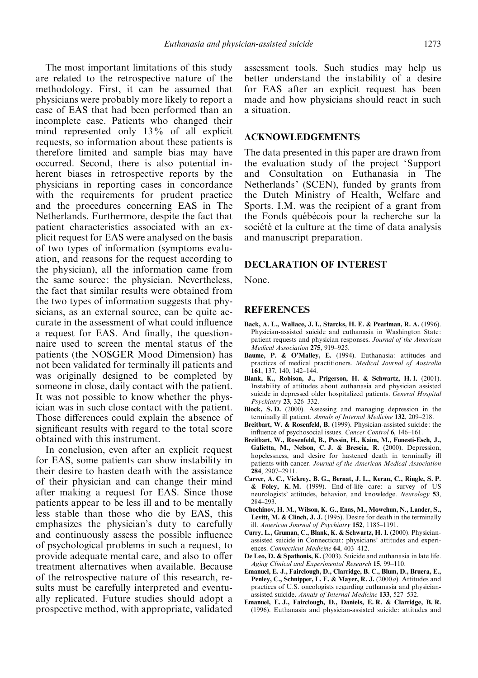The most important limitations of this study are related to the retrospective nature of the methodology. First, it can be assumed that physicians were probably more likely to report a case of EAS that had been performed than an incomplete case. Patients who changed their mind represented only 13% of all explicit requests, so information about these patients is therefore limited and sample bias may have occurred. Second, there is also potential inherent biases in retrospective reports by the physicians in reporting cases in concordance with the requirements for prudent practice and the procedures concerning EAS in The Netherlands. Furthermore, despite the fact that patient characteristics associated with an explicit request for EAS were analysed on the basis of two types of information (symptoms evaluation, and reasons for the request according to the physician), all the information came from the same source: the physician. Nevertheless, the fact that similar results were obtained from the two types of information suggests that physicians, as an external source, can be quite accurate in the assessment of what could influence a request for EAS. And finally, the questionnaire used to screen the mental status of the patients (the NOSGER Mood Dimension) has not been validated for terminally ill patients and was originally designed to be completed by someone in close, daily contact with the patient. It was not possible to know whether the physician was in such close contact with the patient. Those differences could explain the absence of significant results with regard to the total score obtained with this instrument.

In conclusion, even after an explicit request for EAS, some patients can show instability in their desire to hasten death with the assistance of their physician and can change their mind after making a request for EAS. Since those patients appear to be less ill and to be mentally less stable than those who die by EAS, this emphasizes the physician's duty to carefully and continuously assess the possible influence of psychological problems in such a request, to provide adequate mental care, and also to offer treatment alternatives when available. Because of the retrospective nature of this research, results must be carefully interpreted and eventually replicated. Future studies should adopt a prospective method, with appropriate, validated assessment tools. Such studies may help us better understand the instability of a desire for EAS after an explicit request has been made and how physicians should react in such a situation.

# ACKNOWLEDGEMENTS

The data presented in this paper are drawn from the evaluation study of the project 'Support and Consultation on Euthanasia in The Netherlands' (SCEN), funded by grants from the Dutch Ministry of Health, Welfare and Sports. I.M. was the recipient of a grant from the Fonds québécois pour la recherche sur la société et la culture at the time of data analysis and manuscript preparation.

#### DECLARATION OF INTEREST

None.

#### **REFERENCES**

- Back, A. L., Wallace, J. I., Starcks, H. E. & Pearlman, R. A. (1996). Physician-assisted suicide and euthanasia in Washington State: patient requests and physician responses. Journal of the American Medical Association 275, 919–925.
- Baume, P. & O'Malley, E. (1994). Euthanasia: attitudes and practices of medical practitioners. Medical Journal of Australia 161, 137, 140, 142–144.
- Blank, K., Robison, J., Prigerson, H. & Schwartz, H. I. (2001). Instability of attitudes about euthanasia and physician assisted suicide in depressed older hospitalized patients. General Hospital Psychiatry 23, 326–332.
- Block, S. D. (2000). Assessing and managing depression in the terminally ill patient. Annals of Internal Medicine 132, 209–218.
- Breitbart, W. & Rosenfeld, B. (1999). Physician-assisted suicide: the influence of psychosocial issues. Cancer Control 6, 146–161.
- Breitbart, W., Rosenfeld, B., Pessin, H., Kaim, M., Funesti-Esch, J., Galietta, M., Nelson, C. J. & Brescia, R. (2000). Depression, hopelessness, and desire for hastened death in terminally ill patients with cancer. Journal of the American Medical Association 284, 2907–2911.
- Carver, A. C., Vickrey, B. G., Bernat, J. L., Keran, C., Ringle, S. P. & Foley, K. M. (1999). End-of-life care: a survey of US neurologists' attitudes, behavior, and knowledge. Neurology 53, 284–293.
- Chochinov, H. M., Wilson, K. G., Enns, M., Mowchun, N., Lander, S., Levitt, M. & Clinch, J. J. (1995). Desire for death in the terminally ill. American Journal of Psychiatry 152, 1185–1191.
- Curry, L., Gruman, C., Blank, K. & Schwartz, H. I. (2000). Physicianassisted suicide in Connecticut: physicians' attitudes and experiences. Connecticut Medicine 64, 403-412.
- De Leo, D. & Spathonis, K. (2003). Suicide and euthanasia in late life. Aging Clinical and Experimental Research 15, 99–110.
- Emanuel, E. J., Fairclough, D., Clarridge, B. C., Blum, D., Bruera, E., Penley, C., Schnipper, L. E. & Mayer, R. J. (2000a). Attitudes and practices of U.S. oncologists regarding euthanasia and physicianassisted suicide. Annals of Internal Medicine 133, 527–532.
- Emanuel, E. J., Fairclough, D., Daniels, E. R. & Clarridge, B. R. (1996). Euthanasia and physician-assisted suicide: attitudes and